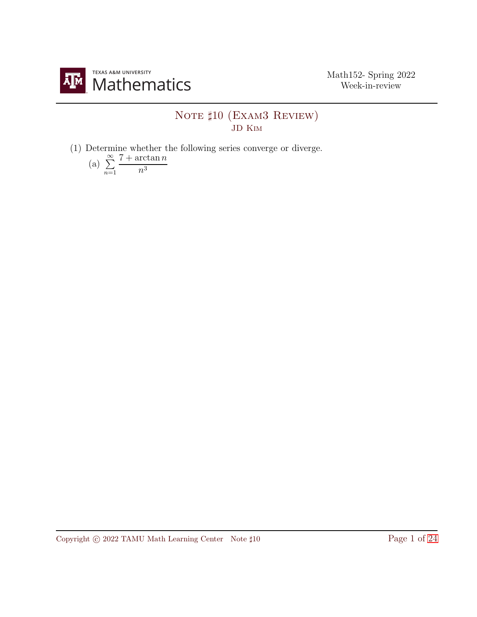

## NOTE  $\sharp 10$  (EXAM3 REVIEW) JD Kim

(1) Determine whether the following series converge or diverge.

(a) 
$$
\sum_{n=1}^{\infty} \frac{7 + \arctan n}{n^3}
$$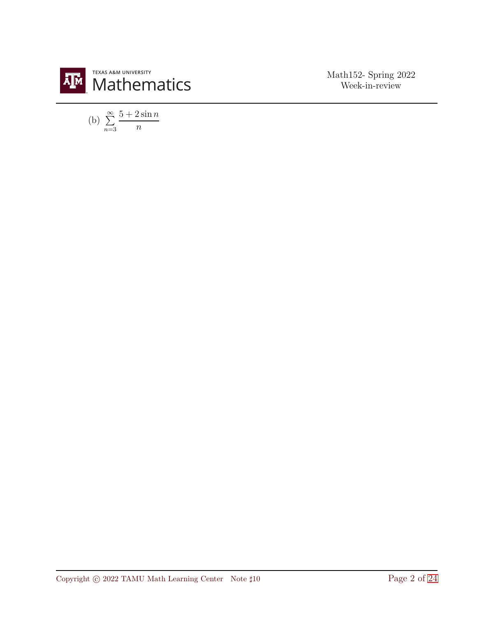

(b)  $\sum_{n=1}^{\infty}$  $\bar{n=}3$  $5+2\sin n$ n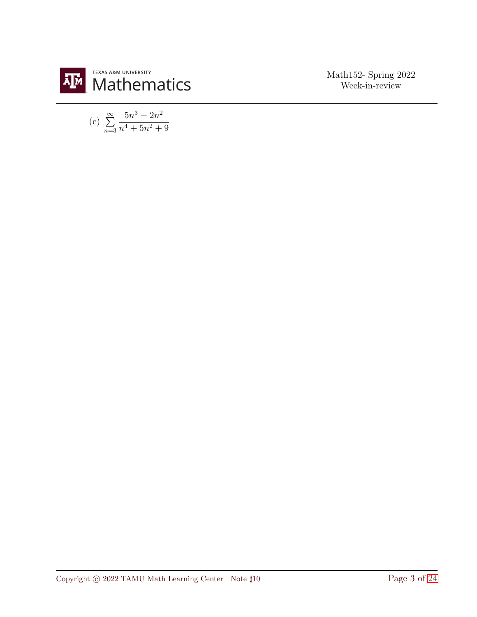

(c) 
$$
\sum_{n=3}^{\infty} \frac{5n^3 - 2n^2}{n^4 + 5n^2 + 9}
$$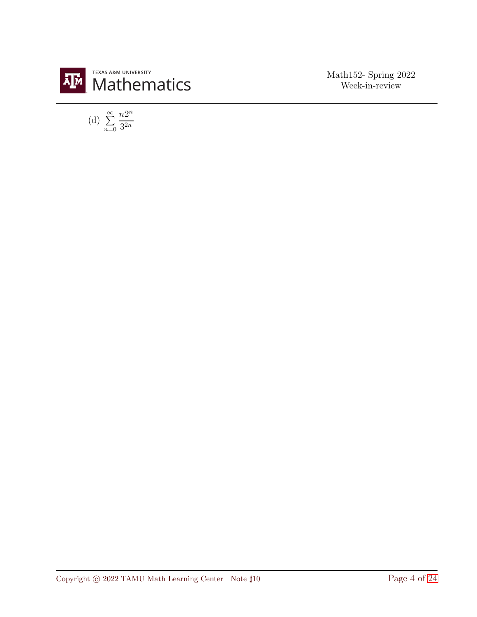

(d) 
$$
\sum_{n=0}^{\infty} \frac{n2^n}{3^{2n}}
$$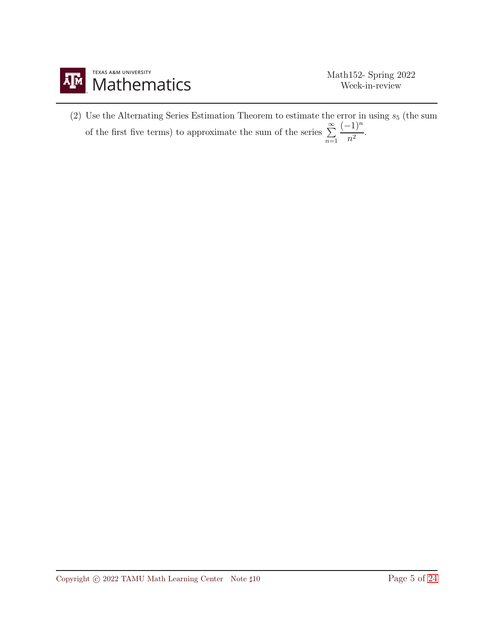

(2) Use the Alternating Series Estimation Theorem to estimate the error in using  $s_5$  (the sum of the first five terms) to approximate the sum of the series  $\sum^{\infty}$  $\overline{n=1}$  $(-1)^n$  $\frac{1}{n^2}$ .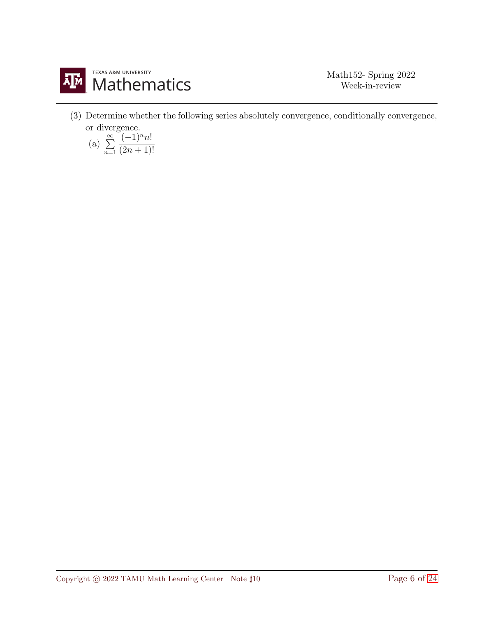

(3) Determine whether the following series absolutely convergence, conditionally convergence, or divergence.

(a) 
$$
\sum_{n=1}^{\infty} \frac{(-1)^n n!}{(2n+1)!}
$$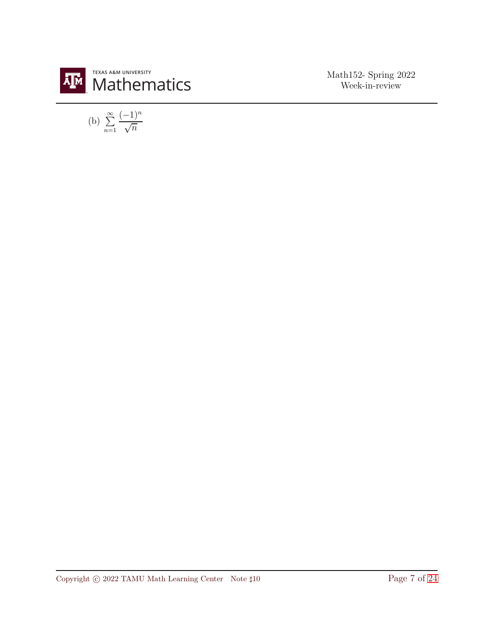

(b) 
$$
\sum_{n=1}^{\infty} \frac{(-1)^n}{\sqrt{n}}
$$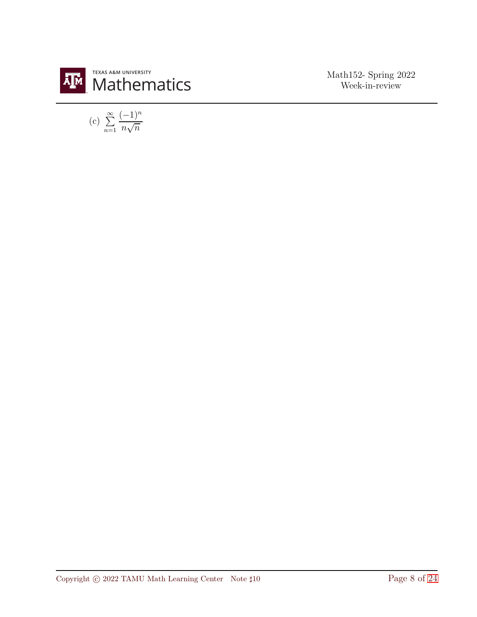

(c) 
$$
\sum_{n=1}^{\infty} \frac{(-1)^n}{n\sqrt{n}}
$$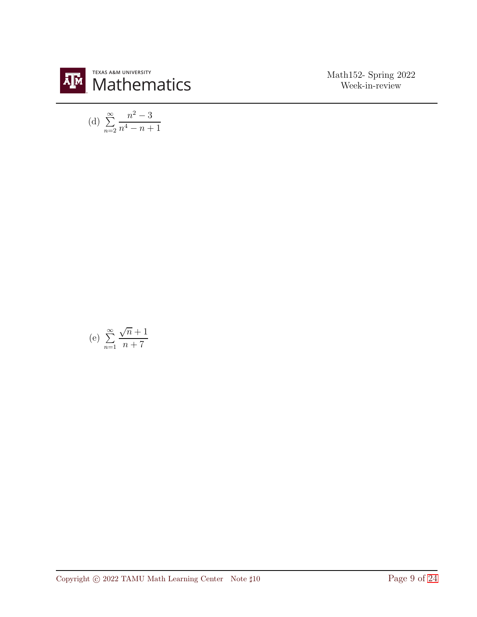

(d) 
$$
\sum_{n=2}^{\infty} \frac{n^2 - 3}{n^4 - n + 1}
$$

(e) 
$$
\sum_{n=1}^{\infty} \frac{\sqrt{n}+1}{n+7}
$$

Copyright © 2022 TAMU Math Learning Center Note ‡10 Page 9 of [24](#page-23-0)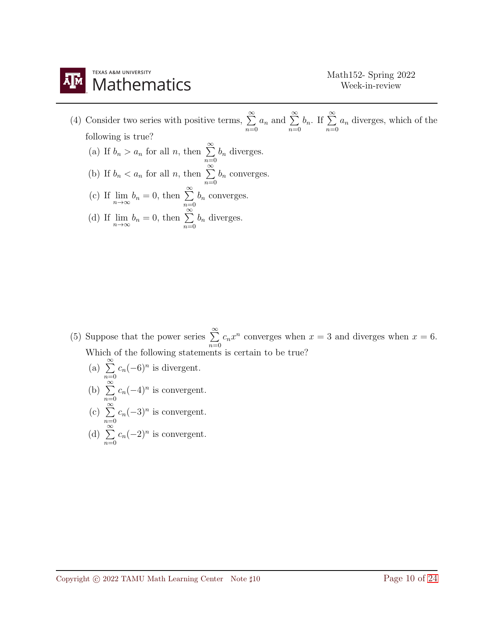

(4) Consider two series with positive terms,  $\sum_{n=1}^{\infty}$  $\bar{n=0}$  $a_n$  and  $\sum^{\infty}$  $\overline{n=0}$  $b_n$ . If  $\sum^{\infty}$  $\bar{n=0}$  $a_n$  diverges, which of the following is true? (a) If  $b_n > a_n$  for all n, then  $\sum^{\infty}$  $\bar{n=0}$  $b_n$  diverges. (b) If  $b_n < a_n$  for all n, then  $\sum_{n=1}^{\infty}$  $\overline{n=0}$  $b_n$  converges. (c) If  $\lim_{n \to \infty} b_n = 0$ , then  $\sum_{n=0}^{\infty}$  $b_n$  converges.

(d) If 
$$
\lim_{n \to \infty} b_n = 0
$$
, then  $\sum_{n=0}^{\infty} b_n$  diverges.

(5) Suppose that the power series  $\sum^{\infty}$  $\sum_{n=0}$  $c_n x^n$  converges when  $x = 3$  and diverges when  $x = 6$ . Which of the following statements is certain to be true?

- (a)  $\sum^{\infty}$  $\sum_{n=0}^{\infty} c_n(-6)^n$  is divergent.
- (b)  $\sum_{n=0}^{\infty}$  $\sum_{n=0}^{\infty} c_n(-4)^n$  is convergent.
- $(c) \sum_{n=0}^{\infty}$  $\sum_{n=0}^{\infty} c_n(-3)^n$  is convergent.
- (d)  $\sum_{n=0}^{\infty}$  $\sum_{n=0}^{\infty} c_n(-2)^n$  is convergent.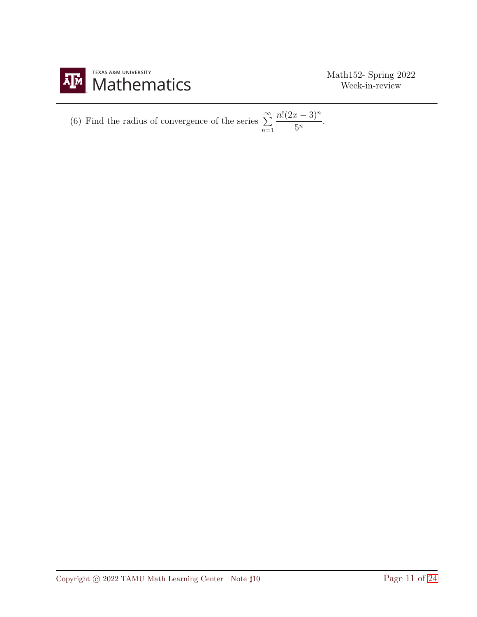

(6) Find the radius of convergence of the series 
$$
\sum_{n=1}^{\infty} \frac{n!(2x-3)^n}{5^n}.
$$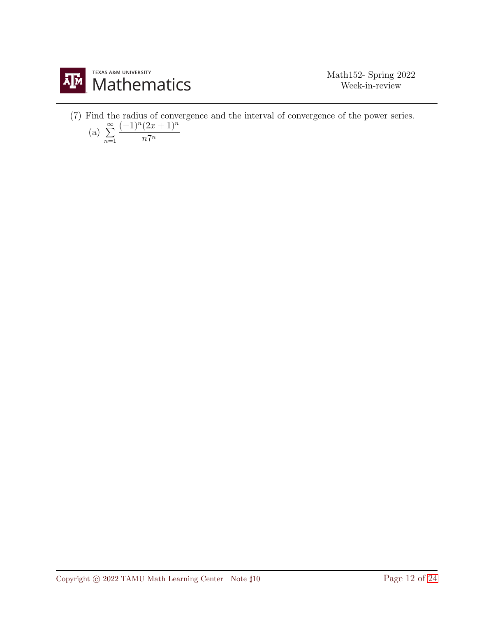

(7) Find the radius of convergence and the interval of convergence of the power series.

(a) 
$$
\sum_{n=1}^{\infty} \frac{(-1)^n (2x+1)^n}{n 7^n}
$$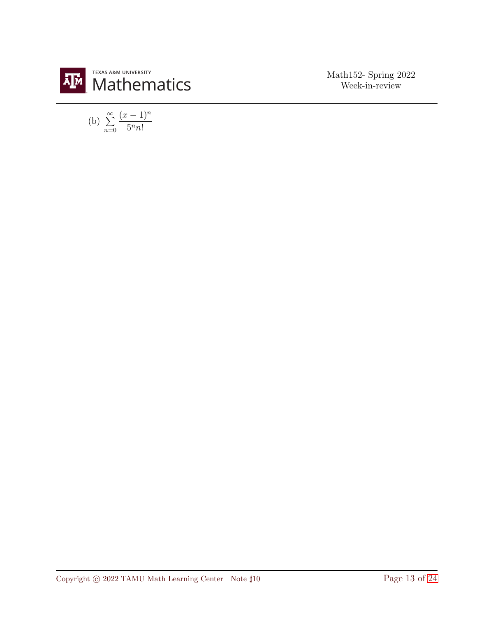

(b) 
$$
\sum_{n=0}^{\infty} \frac{(x-1)^n}{5^n n!}
$$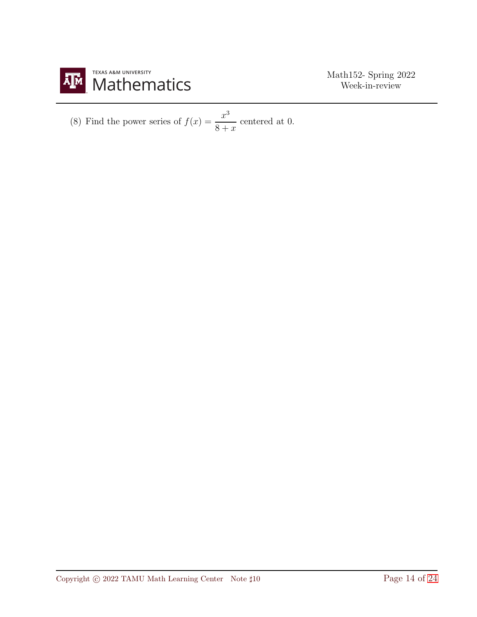

(8) Find the power series of 
$$
f(x) = \frac{x^3}{8+x}
$$
 centered at 0.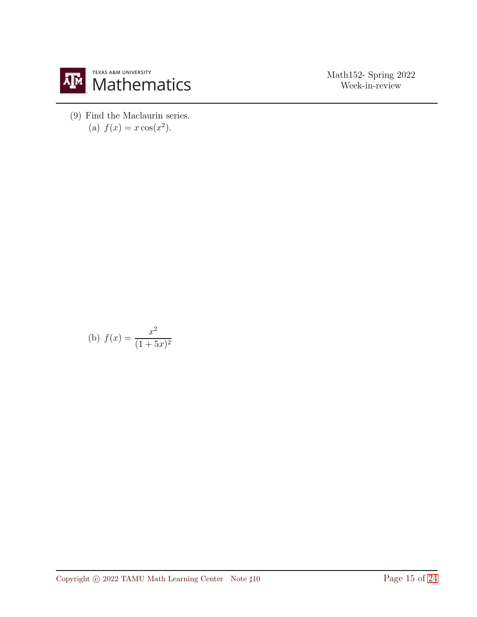

(9) Find the Maclaurin series. (a)  $f(x) = x \cos(x^2)$ .

(b) 
$$
f(x) = \frac{x^2}{(1+5x)^2}
$$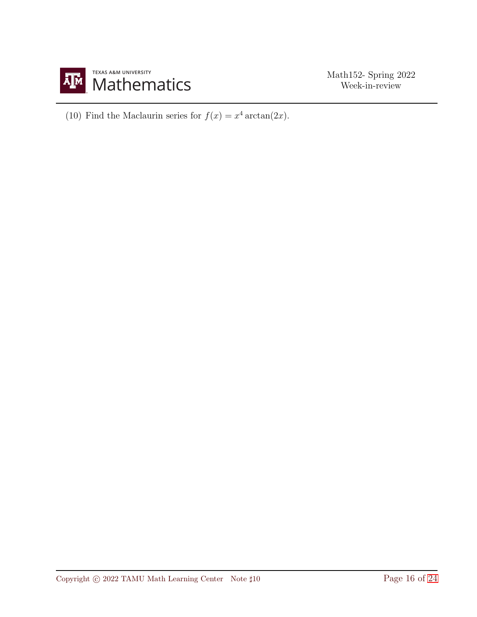

(10) Find the Maclaurin series for  $f(x) = x^4 \arctan(2x)$ .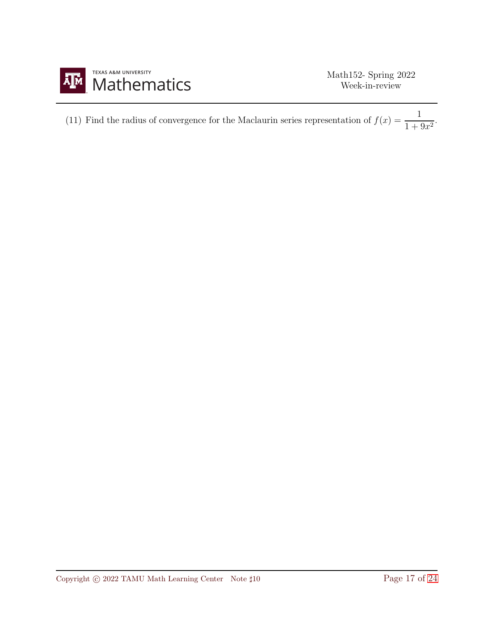

| (11) Find the radius of convergence for the Maclaurin series representation of $f(x) = \frac{1}{1+9x^2}$ . |  |
|------------------------------------------------------------------------------------------------------------|--|
|                                                                                                            |  |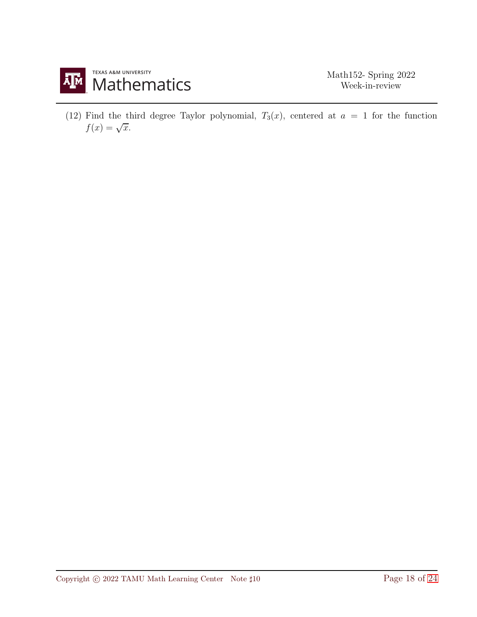

(12) Find the third degree Taylor polynomial,  $T_3(x)$ , centered at  $a = 1$  for the function  $f(x) = \sqrt{x}.$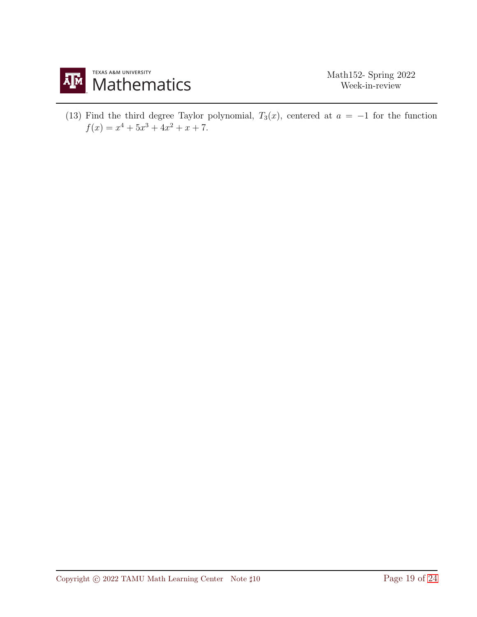

(13) Find the third degree Taylor polynomial,  $T_3(x)$ , centered at  $a = -1$  for the function  $f(x) = x^4 + 5x^3 + 4x^2 + x + 7.$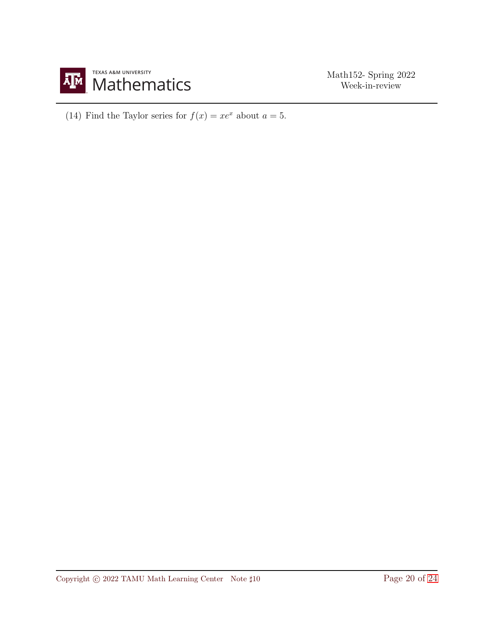

(14) Find the Taylor series for  $f(x) = xe^x$  about  $a = 5$ .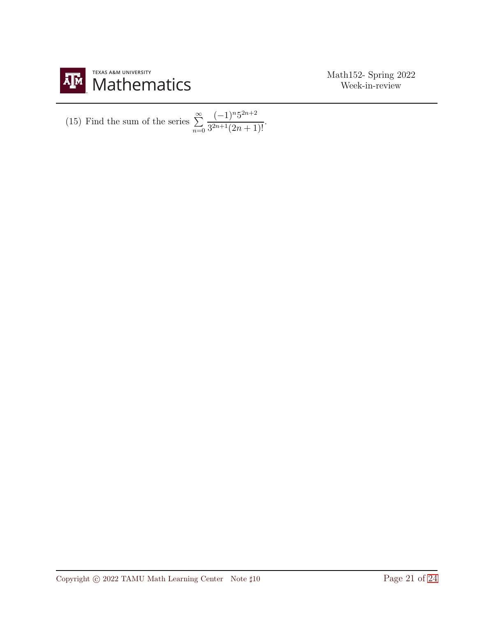

(15) Find the sum of the series 
$$
\sum_{n=0}^{\infty} \frac{(-1)^n 5^{2n+2}}{3^{2n+1}(2n+1)!}.
$$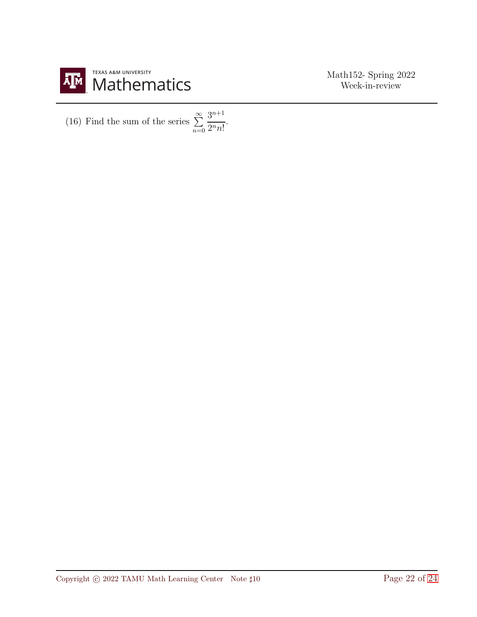

(16) Find the sum of the series  $\sum^{\infty}$  $\sum_{n=0}$  $3^{n+1}$  $\frac{5}{2^n n!}$ .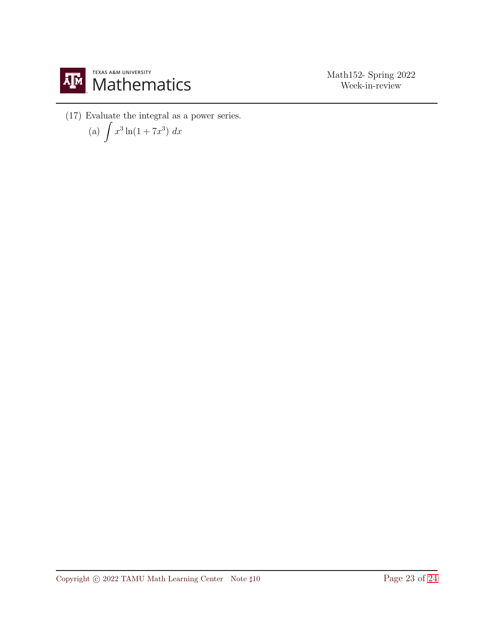

(17) Evaluate the integral as a power series.

(a) 
$$
\int x^3 \ln(1 + 7x^3) dx
$$